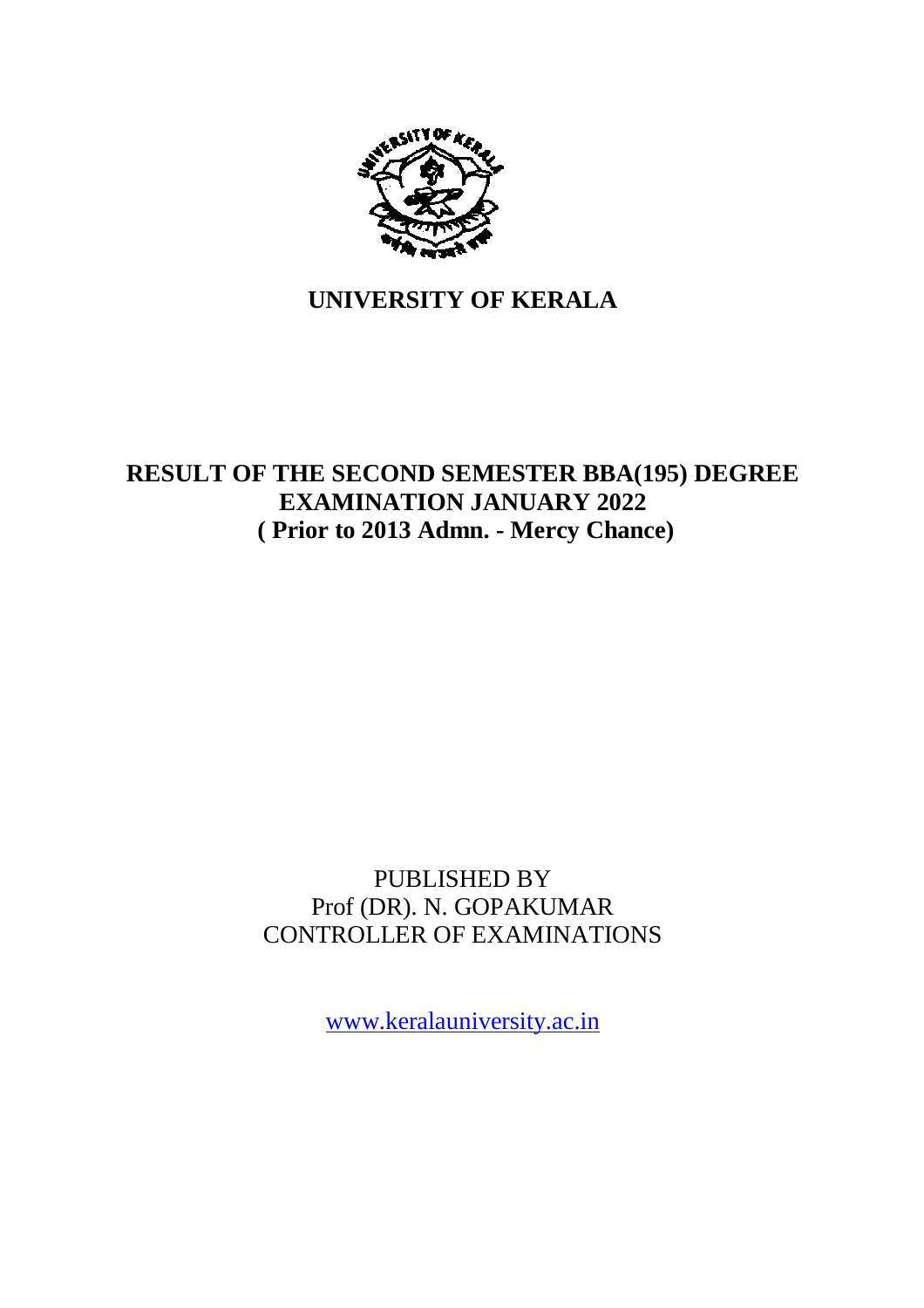

## **UNIVERSITY OF KERALA**

## **RESULT OF THE SECOND SEMESTER BBA(195) DEGREE EXAMINATION JANUARY 2022 ( Prior to 2013 Admn. - Mercy Chance)**

### PUBLISHED BY Prof (DR). N. GOPAKUMAR CONTROLLER OF EXAMINATIONS

www.keralauniversity.ac.in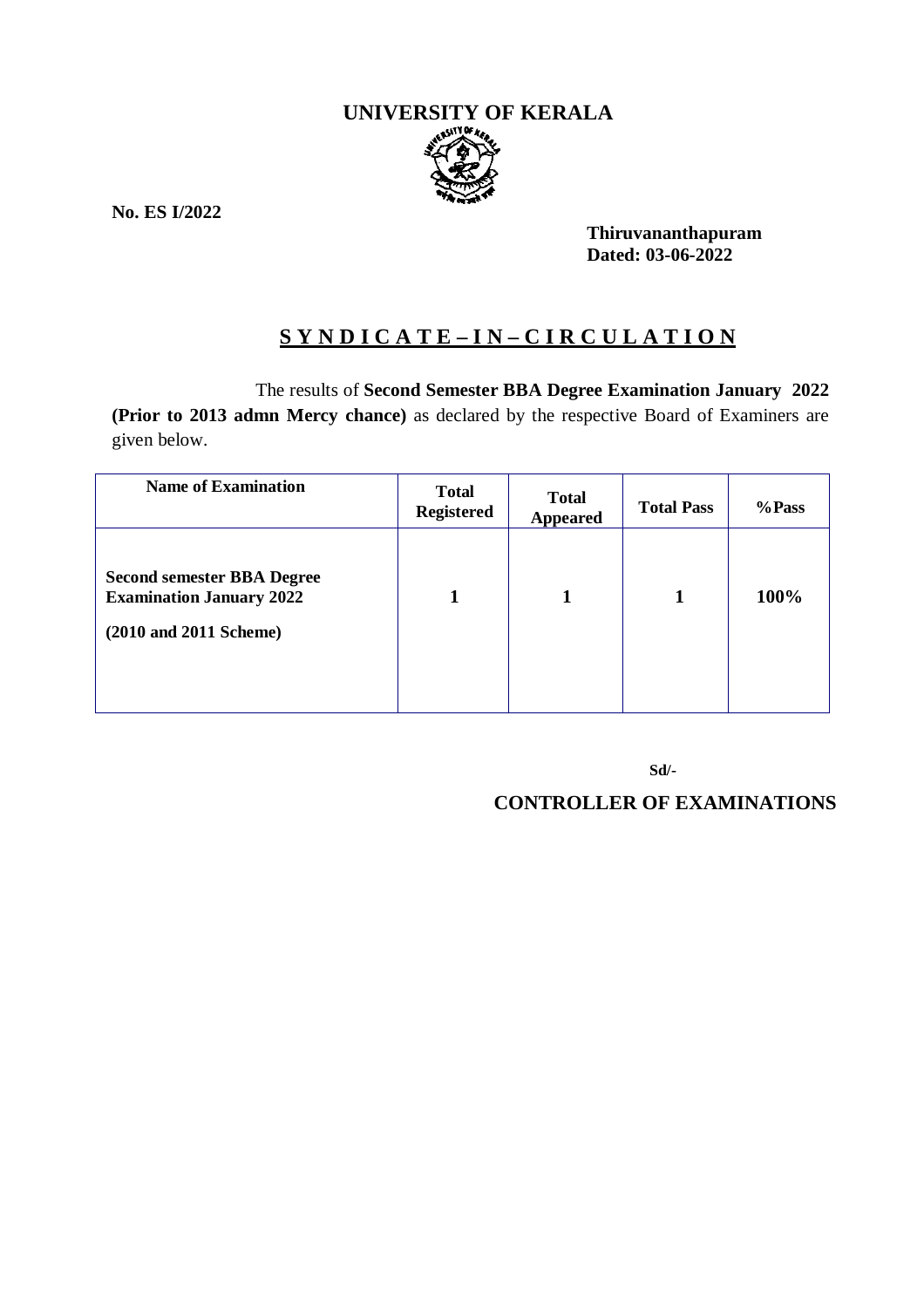# **UNIVERSITY OF KERALA**

**No. ES I/2022**

**Thiruvananthapuram Dated: 03-06-2022**

#### **S Y N D I C A T E – I N – C I R C U L A T I O N**

The results of **Second Semester BBA Degree Examination January 2022**

**(Prior to 2013 admn Mercy chance)** as declared by the respective Board of Examiners are given below.

| <b>Name of Examination</b>                                                                     | <b>Total</b><br><b>Registered</b> | <b>Total</b><br><b>Appeared</b> | <b>Total Pass</b> | %Pass |
|------------------------------------------------------------------------------------------------|-----------------------------------|---------------------------------|-------------------|-------|
| <b>Second semester BBA Degree</b><br><b>Examination January 2022</b><br>(2010 and 2011 Scheme) | 1                                 | 1                               | 1                 | 100%  |

**Sd/-**

**CONTROLLER OF EXAMINATIONS**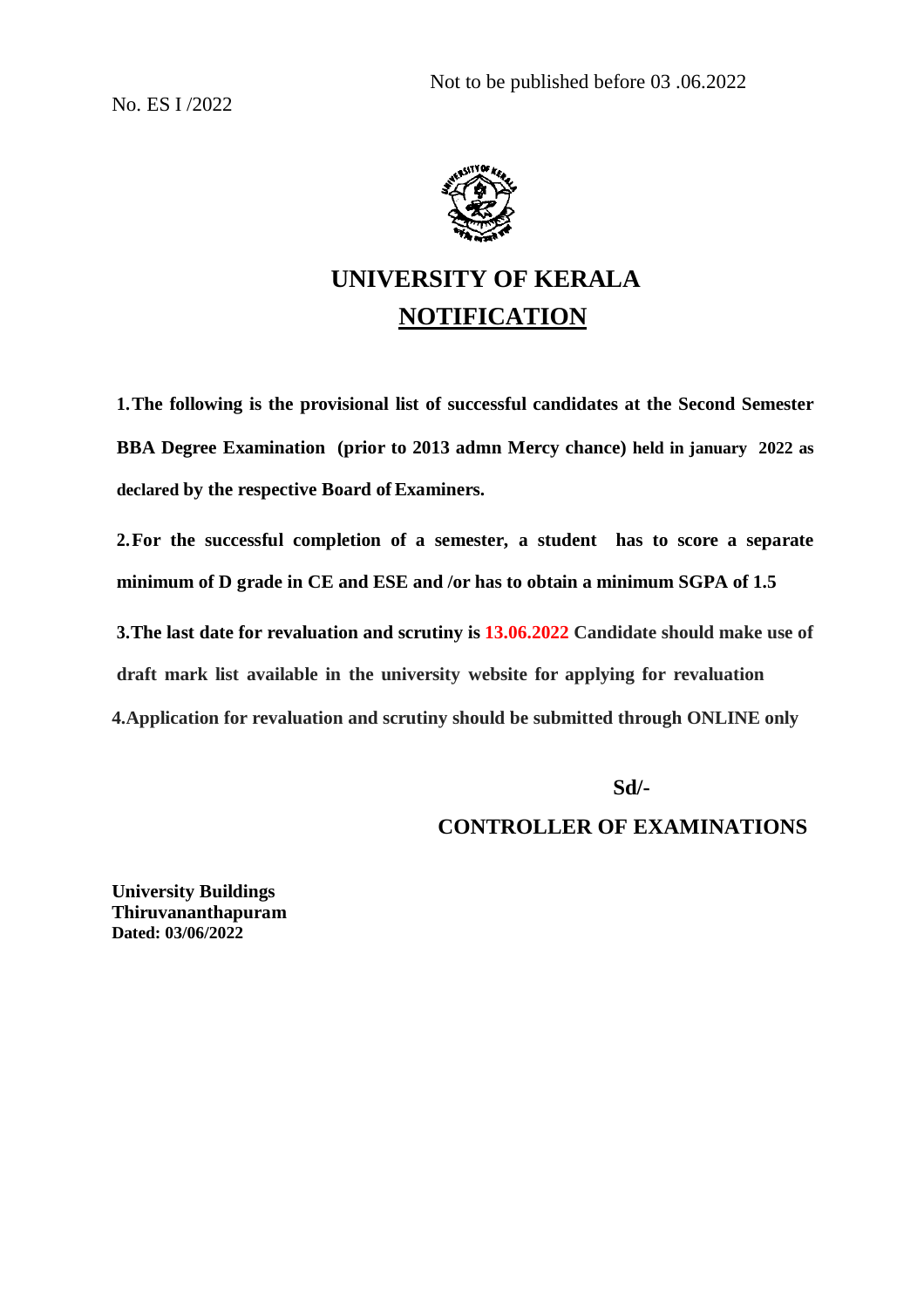No. ES I /2022



## **UNIVERSITY OF KERALA NOTIFICATION**

**1.The following is the provisional list of successful candidates at the Second Semester BBA Degree Examination (prior to 2013 admn Mercy chance) held in january 2022 as declared by the respective Board ofExaminers.**

**2.For the successful completion of a semester, a student has to score a separate minimum of D grade in CE and ESE and /or has to obtain a minimum SGPA of 1.5**

**3.The last date for revaluation and scrutiny is 13.06.2022 Candidate should make use of draft mark list available in the university website for applying for revaluation 4.Application for revaluation and scrutiny should be submitted through ONLINE only**

 **Sd/-**

**CONTROLLER OF EXAMINATIONS**

**University Buildings Thiruvananthapuram Dated: 03/06/2022**